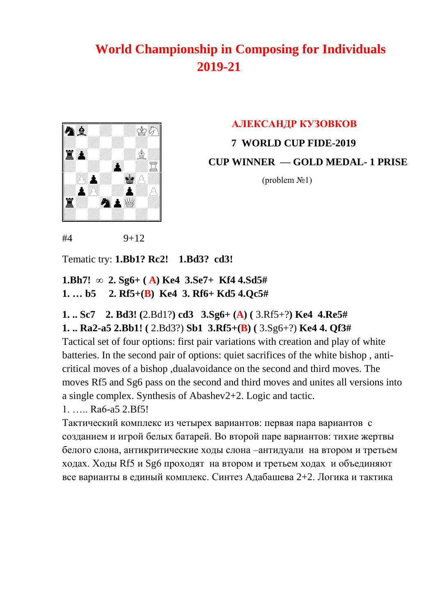

 **AЛЕКСАНДР КУЗОВКОВ 7 WORLD CUP FIDE-2019 CUP WINNER — GOLD MEDAL- 1 PRISE** 

 $$ 

 $#4$  9+12

Tematic try: **1.Bb1? Rc2! 1.Bd3? cd3!**

**1.Bh7! ∞ 2. Sg6+ ( A) Ke4 3.Se7+ Kf4 4.Sd5# 1. … b5 2. Rf5+(B) Ke4 3. Rf6+ Kd5 4.Qc5#**

**1. .. Sc7 2. Bd3! (**2.Bd1?**) cd3 3.Sg6+ (A) (** 3.Rf5+?**) Ke4 4.Re5# 1. .. Ra2-a5 2.Bb1! (** 2.Bd3?) **Sb1 3.Rf5+(B) (** 3.Sg6+?) **Ke4 4. Qf3#** 

Tactical set of four options: first pair variations with creation and play of white batteries. In the second pair of options: quiet sacrifices of the white bishop , anticritical moves of a bishop ,dualavoidance on the second and third moves. The moves Rf5 and Sg6 pass on the second and third moves and unites all versions into a single complex. Synthesis of Abashev2+2. Logic and tactic.

1. ….. Ra6-a5 2.Bf5!

Тактический комплекс из четырех вариантов: первая пара вариантов с созданием и игрой белых батарей. Во второй паре вариантов: тихие жертвы белого слона, антикритические ходы слона –антидуали на втором и третьем ходах. Ходы Rf5 и Sg6 проходят на втором и третьем ходах и объединяют все варианты в единый комплекс. Синтез Адабашева 2+2. Логика и тактика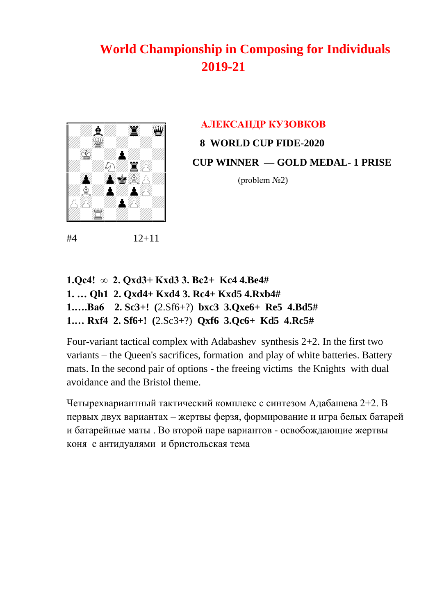

#4 12+11

# **AЛЕКСАНДР КУЗОВКОВ 8 WORLD CUP FIDE-2020 CUP WINNER — GOLD MEDAL- 1 PRISE**

 $$ 

**1.Qc4! ∞ 2. Qxd3+ Kxd3 3. Bc2+ Kc4 4.Be4# 1. … Qh1 2. Qxd4+ Kxd4 3. Rc4+ Kxd5 4.Rxb4# 1.….Ba6 2. Sc3+! (**2.Sf6+?) **bxc3 3.Qxe6+ Re5 4.Bd5# 1.… Rxf4 2. Sf6+! (**2.Sc3+?) **Qxf6 3.Qc6+ Kd5 4.Rc5#**

Four-variant tactical complex with Adabashev synthesis 2+2. In the first two variants – the Queen's sacrifices, formation and play of white batteries. Battery mats. In the second pair of options - the freeing victims the Knights with dual avoidance and the Bristol theme.

Четырехвариантный тактический комплекс с синтезом Адабашева 2+2. В первых двух вариантах – жертвы ферзя, формирование и игра белых батарей и батарейные маты . Во второй паре вариантов - освобождающие жертвы коня с антидуалями и бристольская тема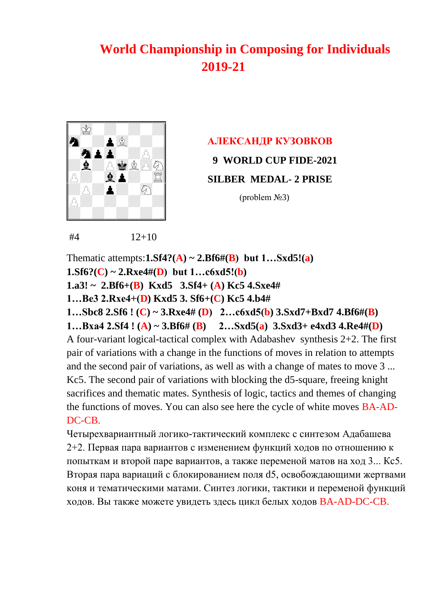

### **AЛЕКСАНДР КУЗОВКОВ**

 **9 WORLD CUP FIDE-2021**

 **SILBER MEDAL- 2 PRISE** 

(problem №3)

 $#4$  12+10

Thematic attempts: $1.Sf4?(\mathbf{A}) \sim 2.Bf6\#(\mathbf{B})$  but  $1...Sxd5!(\mathbf{a})$  $1. Sf6? (C) \sim 2. Rxe4#(D)$  but  $1...c6xd5!(b)$ **1.a3! ~ 2.Bf6+(B) Kxd5 3.Sf4+ (A) Kc5 4.Sxe4# 1…Be3 2.Rxe4+(D) Kxd5 3. Sf6+(C) Kc5 4.b4# 1…Sbc8 2.Sf6 ! (C) ~ 3.Rxe4# (D) 2…c6xd5(b) 3.Sxd7+Bxd7 4.Bf6#(B) 1…Bxa4 2.Sf4 ! (A) ~ 3.Bf6# (B) 2…Sxd5(a) 3.Sxd3+ e4xd3 4.Re4#(D)**  A four-variant logical-tactical complex with Adabashev synthesis 2+2. The first pair of variations with a change in the functions of moves in relation to attempts and the second pair of variations, as well as with a change of mates to move 3 ... Kc5. The second pair of variations with blocking the d5-square, freeing knight sacrifices and thematic mates. Synthesis of logic, tactics and themes of changing the functions of moves. You can also see here the cycle of white moves BA-AD-DC-CB.

Четырехвариантный логико-тактический комплекс с синтезом Адабашева 2+2. Первая пара вариантов с изменением функций ходов по отношению к попыткам и второй паре вариантов, а также переменой матов на ход 3... Кс5. Вторая пара вариаций с блокированием поля d5, освобождающими жертвами коня и тематическими матами. Синтез логики, тактики и переменой функций ходов. Вы также можете увидеть здесь цикл белых ходов BA-AD-DC-CB.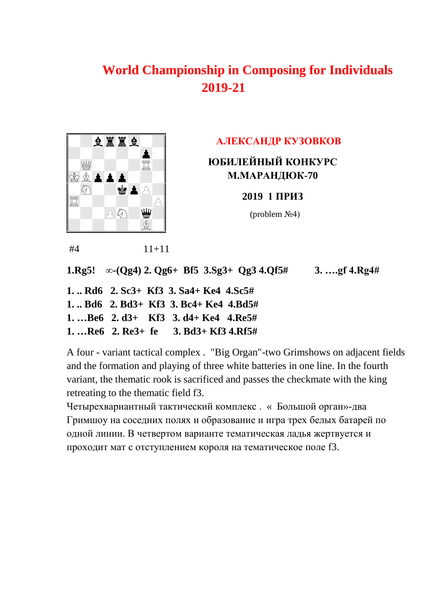

#### **AЛЕКСАНДР КУЗОВКОВ**

### **ЮБИЛЕЙНЫЙ КОНКУРС М.МАРАНДЮК-70**

#### **2019 1 ПРИЗ**

 $(**problem**  $\mathcal{N} \leq 4$ )$ 

#4 11+11

**1.Rg5! ∞-(Qg4) 2. Qg6+ Bf5 3.Sg3+ Qg3 4.Qf5# 3. ….gf 4.Rg4#**

**1. .. Rd6 2. Sc3+ Kf3 3. Sa4+ Ke4 4.Sc5#** 

**1. .. Bd6 2. Bd3+ Kf3 3. Bc4+ Ke4 4.Bd5#** 

**1. …Be6 2. d3+ Kf3 3. d4+ Ke4 4.Re5#** 

**1. …Re6 2. Re3+ fe 3. Bd3+ Kf3 4.Rf5#**

A four - variant tactical complex . "Big Organ"-two Grimshows on adjacent fields and the formation and playing of three white batteries in one line. In the fourth variant, the thematic rook is sacrificed and passes the checkmate with the king retreating to the thematic field f3.

Четырехвариантный тактический комплекс . « Большой орган»-два Гримшоу на соседних полях и образование и игра трех белых батарей по одной линии. В четвертом варианте тематическая ладья жертвуется и проходит мат с отступлением короля на тематическое поле f3.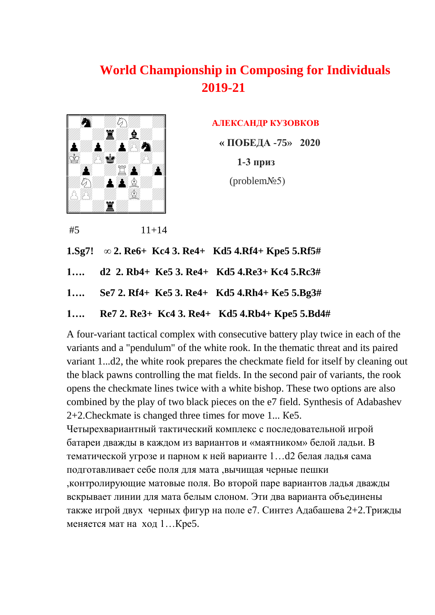

**AЛЕКСАНДР КУЗОВКОВ** 

 **« ПОБЕДА -75» 2020** 

 **1-3 приз**

(problem№5)

 $#5$  11+14 **1.Sg7! ∞ 2. Re6+ Kc4 3. Re4+ Kd5 4.Rf4+ Kpe5 5.Rf5# 1…. d2 2. Rb4+ Ke5 3. Re4+ Kd5 4.Re3+ Kc4 5.Rc3# 1…. Se7 2. Rf4+ Ke5 3. Re4+ Kd5 4.Rh4+ Ke5 5.Bg3# 1…. Re7 2. Re3+ Kc4 3. Re4+ Kd5 4.Rb4+ Kpe5 5.Bd4#**

A four-variant tactical complex with consecutive battery play twice in each of the variants and a "pendulum" of the white rook. In the thematic threat and its paired variant 1...d2, the white rook prepares the checkmate field for itself by cleaning out the black pawns controlling the mat fields. In the second pair of variants, the rook opens the checkmate lines twice with a white bishop. These two options are also combined by the play of two black pieces on the e7 field. Synthesis of Adabashev 2+2.Checkmate is changed three times for move 1... Кe5.

Четырехвариантный тактический комплекс с последовательной игрой батареи дважды в каждом из вариантов и «маятником» белой ладьи. В тематической угрозе и парном к ней варианте 1…d2 белая ладья сама подготавливает себе поля для мата ,вычищая черные пешки ,контролирующие матовые поля. Во второй паре вариантов ладья дважды вскрывает линии для мата белым слоном. Эти два варианта объединены также игрой двух черных фигур на поле е7. Синтез Адабашева 2+2.Трижды меняется мат на ход 1…Кре5.